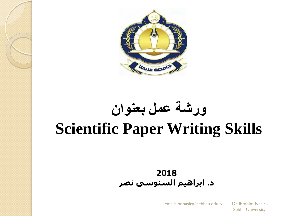

# **ورشة عمل بعنوان Scientific Paper Writing Skills**

#### **2018 د. ابراهيم السنوسى نصر**

Email: ibr.nasir@sebhau.edu.ly Dr. Ibrahim Nasir -

Sebha University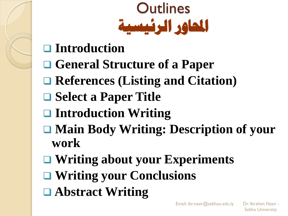

- **Introduction**
- **General Structure of a Paper**
- **References (Listing and Citation)**
- **□ Select a Paper Title**
- **Introduction Writing**
- **Main Body Writing: Description of your work**
- **Writing about your Experiments**
- **Writing your Conclusions**
- **Abstract Writing**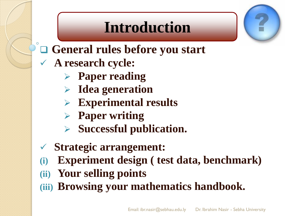### **Introduction**

- **General rules before you start**
- **A research cycle:**
	- **Paper reading**
	- **Idea generation**
	- **Experimental results**
	- **Paper writing**
	- **Successful publication.**
- **Strategic arrangement:**
- **(i) Experiment design ( test data, benchmark)**
- **(ii) Your selling points**
- **(iii) Browsing your mathematics handbook.**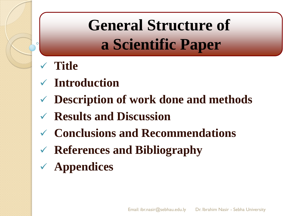# **General Structure of a Scientific Paper**

- **Title**
- **Introduction**
- **Description of work done and methods**
- **Results and Discussion**
- **Conclusions and Recommendations**
- **References and Bibliography**
- **Appendices**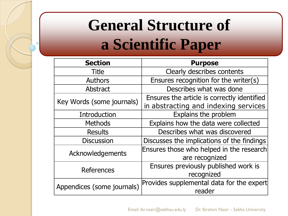# **General Structure of a Scientific Paper**

Ō

| <b>Section</b>             | <b>Purpose</b>                              |
|----------------------------|---------------------------------------------|
| <b>Title</b>               | Clearly describes contents                  |
| <b>Authors</b>             | Ensures recognition for the writer(s)       |
| Abstract                   | Describes what was done                     |
| Key Words (some journals)  | Ensures the article is correctly identified |
|                            | in abstracting and indexing services        |
| Introduction               | Explains the problem                        |
| <b>Methods</b>             | Explains how the data were collected        |
| <b>Results</b>             | Describes what was discovered               |
| <b>Discussion</b>          | Discusses the implications of the findings  |
| Acknowledgements           | Ensures those who helped in the research    |
|                            | are recognized                              |
| References                 | Ensures previously published work is        |
|                            | recognized                                  |
| Appendices (some journals) | Provides supplemental data for the expert   |
|                            | reader                                      |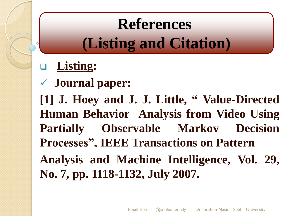# **References (Listing and Citation)**

### **Listing:**

### **Journal paper:**

**[1] J. Hoey and J. J. Little, " Value-Directed Human Behavior Analysis from Video Using Partially Observable Markov Decision Processes", IEEE Transactions on Pattern Analysis and Machine Intelligence, Vol. 29, No. 7, pp. 1118-1132, July 2007.**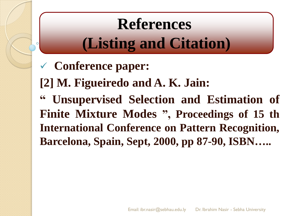# **References (Listing and Citation)**

- **Conference paper:**
- **[2] M. Figueiredo and A. K. Jain:**
- **" Unsupervised Selection and Estimation of Finite Mixture Modes ", Proceedings of 15 th International Conference on Pattern Recognition, Barcelona, Spain, Sept, 2000, pp 87-90, ISBN…..**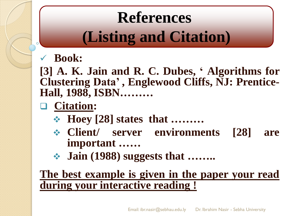# **References (Listing and Citation)**

#### **Book:**

**[3] A. K. Jain and R. C. Dubes, " Algorithms for Clustering Data" , Englewood Cliffs, NJ: Prentice-Hall, 1988, ISBN………**

### **Citation:**

- **Hoey [28] states that ………**
- **Client/ server environments [28] are important ……**
- **Jain (1988) suggests that ……..**

#### **The best example is given in the paper your read during your interactive reading !**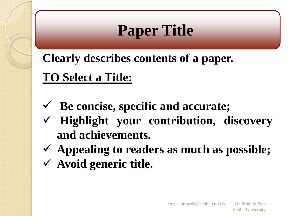# **Paper Title**

**Clearly describes contents of a paper. TO Select a Title:**

- **Be concise, specific and accurate;**
- **Highlight your contribution, discovery and achievements.**
- **Appealing to readers as much as possible;**
- **Avoid generic title.**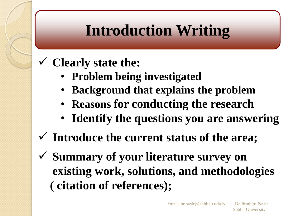### **Clearly state the:**

- **Problem being investigated**
- **Background that explains the problem**
- **Reasons for conducting the research**
- **Identify the questions you are answering**
- **Introduce the current status of the area;**
- **Summary of your literature survey on existing work, solutions, and methodologies ( citation of references);**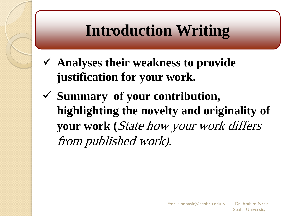- **Analyses their weakness to provide justification for your work.**
- **Summary of your contribution, highlighting the novelty and originality of your work (**State how your work differs from published work).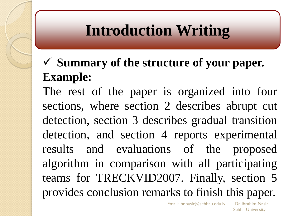### **Summary of the structure of your paper. Example:**

The rest of the paper is organized into four sections, where section 2 describes abrupt cut detection, section 3 describes gradual transition detection, and section 4 reports experimental results and evaluations of the proposed algorithm in comparison with all participating teams for TRECKVID2007. Finally, section 5 provides conclusion remarks to finish this paper.

Email: ibr.nasir@sebhau.edu.ly Dr. Ibrahim Nasir

<sup>-</sup> Sebha University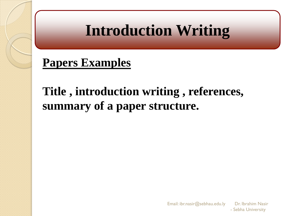### **Papers Examples**

### **Title , introduction writing , references, summary of a paper structure.**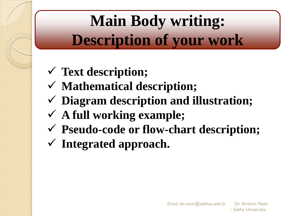# **Main Body writing: Description of your work**

- **Text description;**
- **Mathematical description;**
- **Diagram description and illustration;**
- **A full working example;**
- **Pseudo-code or flow-chart description;**
- **Integrated approach.**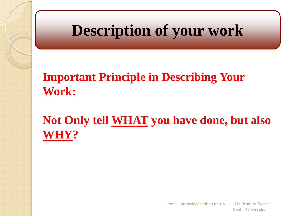### **Description of your work**

### **Important Principle in Describing Your Work:**

### **Not Only tell WHAT you have done, but also WHY?**

Email: ibr.nasir@sebhau.edu.ly Dr. Ibrahim Nasir - Sebha University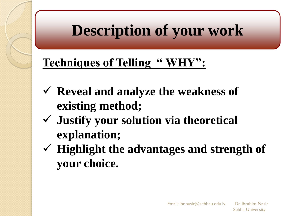## **Description of your work**

### **Techniques of Telling " WHY":**

- **Reveal and analyze the weakness of existing method;**
- **Justify your solution via theoretical explanation;**
- **Highlight the advantages and strength of your choice.**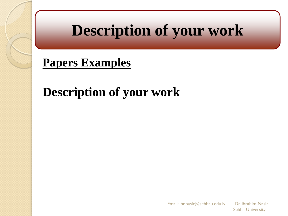### **Description of your work**

### **Papers Examples**

### **Description of your work**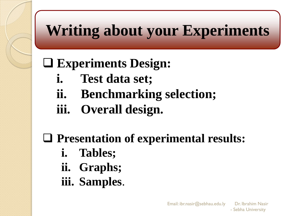# **Writing about your Experiments**

### **Experiments Design:**

- **i. Test data set;**
- **ii. Benchmarking selection;**
- **iii. Overall design.**

### **Presentation of experimental results:**

- **i. Tables;**
- **ii. Graphs;**
- **iii. Samples**.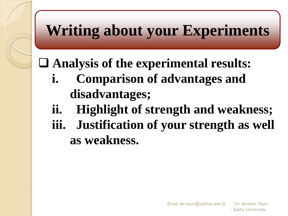## **Writing about your Experiments**

### **Analysis of the experimental results:**

- **i. Comparison of advantages and disadvantages;**
- **ii. Highlight of strength and weakness;**
- **iii. Justification of your strength as well as weakness.**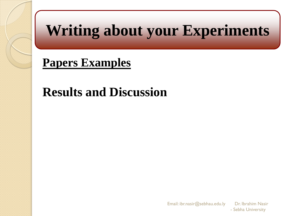## **Writing about your Experiments**

### **Papers Examples**

### **Results and Discussion**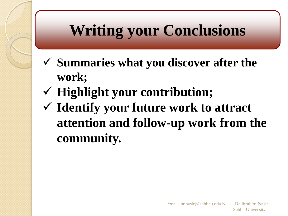# **Writing your Conclusions**

- **Summaries what you discover after the work;**
- **Highlight your contribution;**
- **Identify your future work to attract attention and follow-up work from the community.**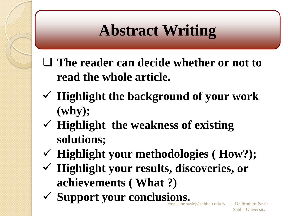# **Abstract Writing**

- **The reader can decide whether or not to read the whole article.**
- **Highlight the background of your work (why);**
- **Highlight the weakness of existing solutions;**
- **Highlight your methodologies ( How?);**
- **Highlight your results, discoveries, or achievements ( What ?)**
- **Support your conclusions.**

 $\mathbb E$ mail: ibr.nasir@sebhau.edu.ly  $\qquad$  Dr. Ibrahim Nasir - Sebha University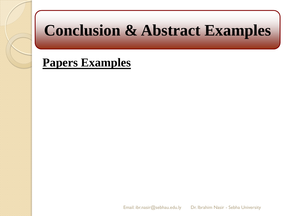## **Conclusion & Abstract Examples**

#### **Papers Examples**